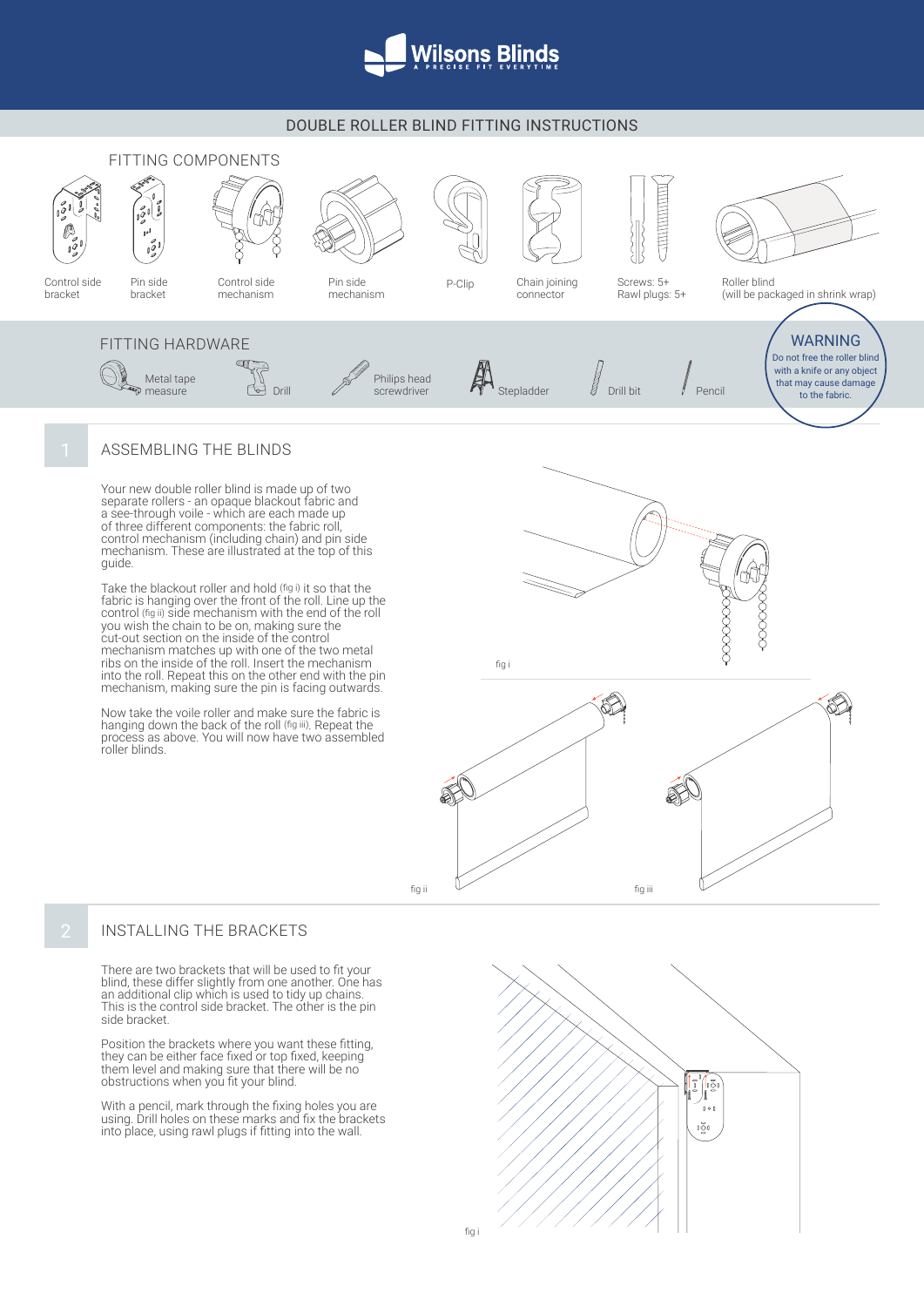

## DOUBLE ROLLER BLIND FITTING INSTRUCTIONS



## ASSEMBLING THE BLINDS

Your new double roller blind is made up of two separate rollers - an opaque blackout fabric and a see-through voile - which are each made up of three different components: the fabric roll, control mechanism (including chain) and pin side mechanism. These are illustrated at the top of this guide.

Take the blackout roller and hold (fig i) it so that the fabric is hanging over the front of the roll. Line up the control (fig ii) side mechanism with the end of the roll you wish the chain to be on, making sure the cut-out section on the inside of the control mechanism matches up with one of the two metal ribs on the inside of the roll. Insert the mechanism into the roll. Repeat this on the other end with the pin mechanism, making sure the pin is facing outwards.

Now take the voile roller and make sure the fabric is hanging down the back of the roll (fig iii). Repeat the process as above. You will now have two assembled roller blinds.



fig i



## INSTALLING THE BRACKETS

There are two brackets that will be used to fit your blind, these differ slightly from one another. One has an additional clip which is used to tidy up chains. This is the control side bracket. The other is the pin side bracket.

Position the brackets where you want these fitting, they can be either face fixed or top fixed, keeping them level and making sure that there will be no obstructions when you fit your blind.

With a pencil, mark through the fixing holes you are using. Drill holes on these marks and fix the brackets into place, using rawl plugs if fitting into the wall.